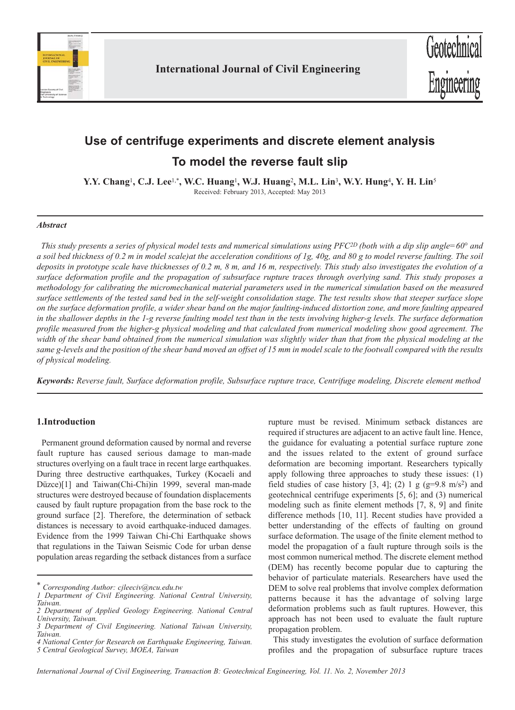

# **Use of centrifuge experiments and discrete element analysis To model the reverse fault slip**

**Y.Y. Chang**1**, C.J. Lee**1,\***, W.C. Huang**1**, W.J. Huang**2**, M.L. Lin**3**, W.Y. Hung**4**, Y. H. Lin**<sup>5</sup> Received: February 2013, Accepted: May 2013

## *Abstract*

*This study presents a series of physical model tests and numerical simulations using PFC2D (both with a dip slip angle=60° and a soil bed thickness of 0.2 m in model scale)at the acceleration conditions of 1g, 40g, and 80 g to model reverse faulting. The soil deposits in prototype scale have thicknesses of 0.2 m, 8 m, and 16 m, respectively. This study also investigates the evolution of a surface deformation profile and the propagation of subsurface rupture traces through overlying sand. This study proposes a methodology for calibrating the micromechanical material parameters used in the numerical simulation based on the measured surface settlements of the tested sand bed in the self-weight consolidation stage. The test results show that steeper surface slope on the surface deformation profile, a wider shear band on the major faulting-induced distortion zone, and more faulting appeared in the shallower depths in the 1-g reverse faulting model test than in the tests involving higher-g levels. The surface deformation profile measured from the higher-g physical modeling and that calculated from numerical modeling show good agreement. The width of the shear band obtained from the numerical simulation was slightly wider than that from the physical modeling at the same g-levels and the position of the shear band moved an offset of 15 mm in model scale to the footwall compared with the results of physical modeling.* 

*Keywords: Reverse fault, Surface deformation profile, Subsurface rupture trace, Centrifuge modeling, Discrete element method*

# **1.Introduction**

Permanent ground deformation caused by normal and reverse fault rupture has caused serious damage to man-made structures overlying on a fault trace in recent large earthquakes. During three destructive earthquakes, Turkey (Kocaeli and Düzce)[1] and Taiwan(Chi-Chi)in 1999, several man-made structures were destroyed because of foundation displacements caused by fault rupture propagation from the base rock to the ground surface [2]. Therefore, the determination of setback distances is necessary to avoid earthquake-induced damages. Evidence from the 1999 Taiwan Chi-Chi Earthquake shows that regulations in the Taiwan Seismic Code for urban dense population areas regarding the setback distances from a surface

*\* Corresponding Author: cjleeciv@ncu.edu.tw*

rupture must be revised. Minimum setback distances are required if structures are adjacent to an active fault line. Hence, the guidance for evaluating a potential surface rupture zone and the issues related to the extent of ground surface deformation are becoming important. Researchers typically apply following three approaches to study these issues: (1) field studies of case history [3, 4]; (2) 1 g (g=9.8 m/s<sup>2</sup>) and geotechnical centrifuge experiments [5, 6]; and (3) numerical modeling such as finite element methods [7, 8, 9] and finite difference methods [10, 11]. Recent studies have provided a better understanding of the effects of faulting on ground surface deformation. The usage of the finite element method to model the propagation of a fault rupture through soils is the most common numerical method. The discrete element method (DEM) has recently become popular due to capturing the behavior of particulate materials. Researchers have used the DEM to solve real problems that involve complex deformation patterns because it has the advantage of solving large deformation problems such as fault ruptures. However, this approach has not been used to evaluate the fault rupture propagation problem.

This study investigates the evolution of surface deformation profiles and the propagation of subsurface rupture traces

*<sup>1</sup> Department of Civil Engineering. National Central University, Taiwan.*

*<sup>2</sup> Department of Applied Geology Engineering. National Central University, Taiwan. 3 Department of Civil Engineering. National Taiwan University,*

*Taiwan.*

*<sup>4</sup> National Center for Research on Earthquake Engineering, Taiwan. 5 Central Geological Survey, MOEA, Taiwan*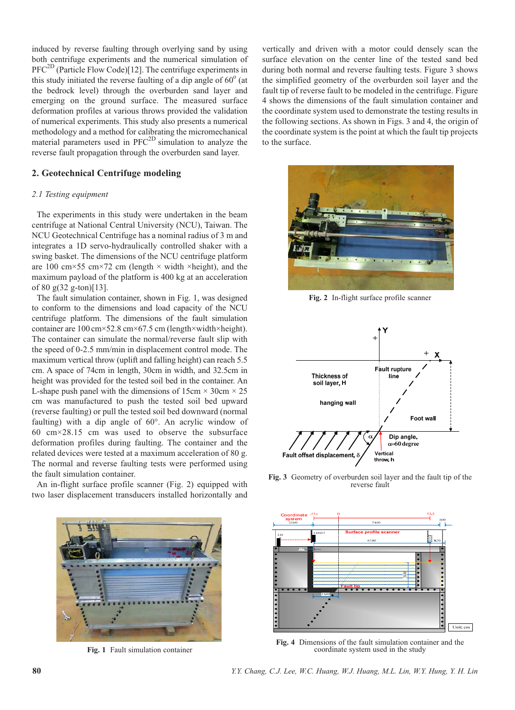induced by reverse faulting through overlying sand by using both centrifuge experiments and the numerical simulation of  $PFC^{2D}$  (Particle Flow Code)[12]. The centrifuge experiments in this study initiated the reverse faulting of a dip angle of  $60^{\circ}$  (at the bedrock level) through the overburden sand layer and emerging on the ground surface. The measured surface deformation profiles at various throws provided the validation of numerical experiments. This study also presents a numerical methodology and a method for calibrating the micromechanical material parameters used in PFC<sup>2D</sup> simulation to analyze the reverse fault propagation through the overburden sand layer.

# **2. Geotechnical Centrifuge modeling**

## *2.1 Testing equipment*

The experiments in this study were undertaken in the beam centrifuge at National Central University (NCU), Taiwan. The NCU Geotechnical Centrifuge has a nominal radius of 3 m and integrates a 1D servo-hydraulically controlled shaker with a swing basket. The dimensions of the NCU centrifuge platform are 100 cm $\times$ 55 cm $\times$ 72 cm (length  $\times$  width  $\times$ height), and the maximum payload of the platform is 400 kg at an acceleration of 80 g(32 g-ton)[13].

The fault simulation container, shown in Fig. 1, was designed to conform to the dimensions and load capacity of the NCU centrifuge platform. The dimensions of the fault simulation container are 100 cm×52.8 cm×67.5 cm (length×width×height). The container can simulate the normal/reverse fault slip with the speed of 0-2.5 mm/min in displacement control mode. The maximum vertical throw (uplift and falling height) can reach 5.5 cm. A space of 74cm in length, 30cm in width, and 32.5cm in height was provided for the tested soil bed in the container. An L-shape push panel with the dimensions of  $15 \text{cm} \times 30 \text{cm} \times 25$ cm was manufactured to push the tested soil bed upward (reverse faulting) or pull the tested soil bed downward (normal faulting) with a dip angle of 60°. An acrylic window of 60 cm×28.15 cm was used to observe the subsurface deformation profiles during faulting. The container and the related devices were tested at a maximum acceleration of 80 g. The normal and reverse faulting tests were performed using the fault simulation container.

An in-flight surface profile scanner (Fig. 2) equipped with two laser displacement transducers installed horizontally and



**Fig. 1** Fault simulation container

vertically and driven with a motor could densely scan the surface elevation on the center line of the tested sand bed during both normal and reverse faulting tests. Figure 3 shows the simplified geometry of the overburden soil layer and the fault tip of reverse fault to be modeled in the centrifuge. Figure 4 shows the dimensions of the fault simulation container and the coordinate system used to demonstrate the testing results in the following sections. As shown in Figs. 3 and 4, the origin of the coordinate system is the point at which the fault tip projects to the surface.



**Fig. 2** In-flight surface profile scanner



**Fig. 3** Geometry of overburden soil layer and the fault tip of the reverse fault



**Fig. 4** Dimensions of the fault simulation container and the coordinate system used in the study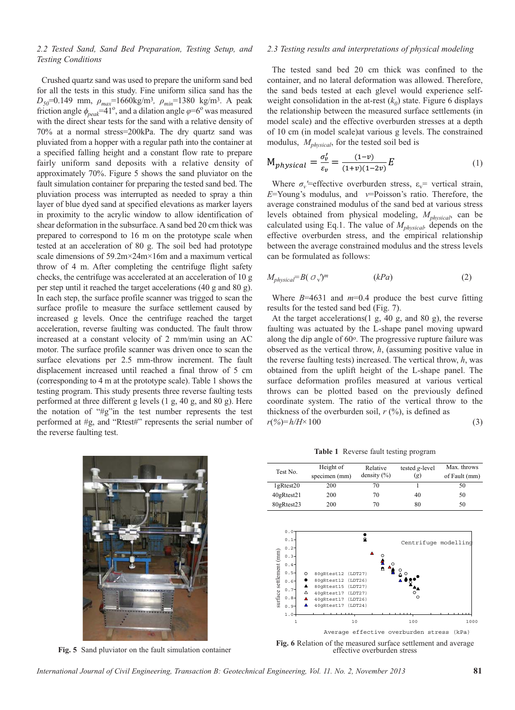## *2.2 Tested Sand, Sand Bed Preparation, Testing Setup, and Testing Conditions*

Crushed quartz sand was used to prepare the uniform sand bed for all the tests in this study. Fine uniform silica sand has the *D50*=0.149 mm, *ρmax*=1660kg/m3*, ρmin*=1380 kg/m3. A peak friction angle  $\phi_{peak}$ =41<sup>o</sup>, and a dilation angle  $\varphi$ =6<sup>o</sup> was measured with the direct shear tests for the sand with a relative density of 70% at a normal stress=200kPa. The dry quartz sand was pluviated from a hopper with a regular path into the container at a specified falling height and a constant flow rate to prepare fairly uniform sand deposits with a relative density of approximately 70%. Figure 5 shows the sand pluviator on the fault simulation container for preparing the tested sand bed. The pluviation process was interrupted as needed to spray a thin layer of blue dyed sand at specified elevations as marker layers in proximity to the acrylic window to allow identification of shear deformation in the subsurface. A sand bed 20 cm thick was prepared to correspond to 16 m on the prototype scale when tested at an acceleration of 80 g. The soil bed had prototype scale dimensions of 59.2m×24m×16m and a maximum vertical throw of 4 m. After completing the centrifuge flight safety checks, the centrifuge was accelerated at an acceleration of 10 g per step until it reached the target accelerations (40 g and 80 g). In each step, the surface profile scanner was trigged to scan the surface profile to measure the surface settlement caused by increased g levels. Once the centrifuge reached the target acceleration, reverse faulting was conducted. The fault throw increased at a constant velocity of 2 mm/min using an AC motor. The surface profile scanner was driven once to scan the surface elevations per 2.5 mm-throw increment. The fault displacement increased until reached a final throw of 5 cm (corresponding to 4 m at the prototype scale). Table 1 shows the testing program. This study presents three reverse faulting tests performed at three different g levels (1 g, 40 g, and 80 g). Here the notation of "#g"in the test number represents the test performed at #g, and "Rtest#" represents the serial number of the reverse faulting test.



#### *2.3 Testing results and interpretations of physical modeling*

The tested sand bed 20 cm thick was confined to the container, and no lateral deformation was allowed. Therefore, the sand beds tested at each glevel would experience selfweight consolidation in the at-rest  $(k_0)$  state. Figure 6 displays the relationship between the measured surface settlements (in model scale) and the effective overburden stresses at a depth of 10 cm (in model scale)at various g levels. The constrained modulus, *Mphysical*, for the tested soil bed is

$$
M_{physical} = \frac{\sigma_v'}{\varepsilon_v} = \frac{(1-v)}{(1+v)(1-2v)} E
$$
 (1)

Where  $\sigma_{\nu}$ '=effective overburden stress,  $\varepsilon_{\nu}$ = vertical strain, *E*=Young's modulus, and *v*=Poisson's ratio. Therefore, the average constrained modulus of the sand bed at various stress levels obtained from physical modeling,  $M_{\text{physical}}$ , can be calculated using Eq.1. The value of *Mphysical,* depends on the effective overburden stress, and the empirical relationship between the average constrained modulus and the stress levels can be formulated as follows:

$$
M_{physical} = B\left(\sigma_v\right)^m \qquad (kPa) \tag{2}
$$

Where  $B=4631$  and  $m=0.4$  produce the best curve fitting results for the tested sand bed (Fig. 7).

At the target accelerations(1 g, 40 g, and 80 g), the reverse faulting was actuated by the L-shape panel moving upward along the dip angle of 60o. The progressive rupture failure was observed as the vertical throw, *h*, (assuming positive value in the reverse faulting tests) increased. The vertical throw, *h*, was obtained from the uplift height of the L-shape panel. The surface deformation profiles measured at various vertical throws can be plotted based on the previously defined coordinate system. The ratio of the vertical throw to the thickness of the overburden soil,  $r$  (%), is defined as *r*(*%*)*=h/H×*100 (3)

**Table 1** Reverse fault testing program

|                                                                                                                                                       |                                                                                  |                                                                     | .                               |               |
|-------------------------------------------------------------------------------------------------------------------------------------------------------|----------------------------------------------------------------------------------|---------------------------------------------------------------------|---------------------------------|---------------|
| Test No.                                                                                                                                              | Height of                                                                        | Relative                                                            | tested g-level                  | Max. throws   |
|                                                                                                                                                       | specimen (mm)                                                                    | density $(\% )$                                                     | (g)                             | of Fault (mm) |
| 1gRtest20                                                                                                                                             | 200                                                                              | 70                                                                  |                                 | 50            |
| 40gRtest21                                                                                                                                            | 200                                                                              | 70                                                                  | 40                              | 50            |
| 80gRtest23                                                                                                                                            | 200                                                                              | 70                                                                  | 80                              | 50            |
| 0.0<br>$0.1 -$<br>$0.2 -$<br>surface settlement (mm)<br>$0.3 -$<br>$0.4 -$<br>$0.5 -$<br>O<br>$0.6 -$<br>$0.7 -$<br>Δ<br>$0.8 -$<br>Δ<br>▲<br>$0.9 -$ | 80qRtest12<br>80gRtest12<br>80qRtest15<br>40gRtest17<br>40qRtest17<br>40qRtest17 | ⋒<br>(LDT27)<br>(LDT26)<br>(LDT27)<br>(LDT27)<br>(LDT26)<br>(LDT24) | Centrifuge modelling<br>$\circ$ |               |

**Fig. 5** Sand pluviator on the fault simulation container **Fig. 6** Relation of the measured surface settlement and average effective overburden stress effective overburden stress Average effective overburden stress (kPa)

1 10 100 1000 1000

1.0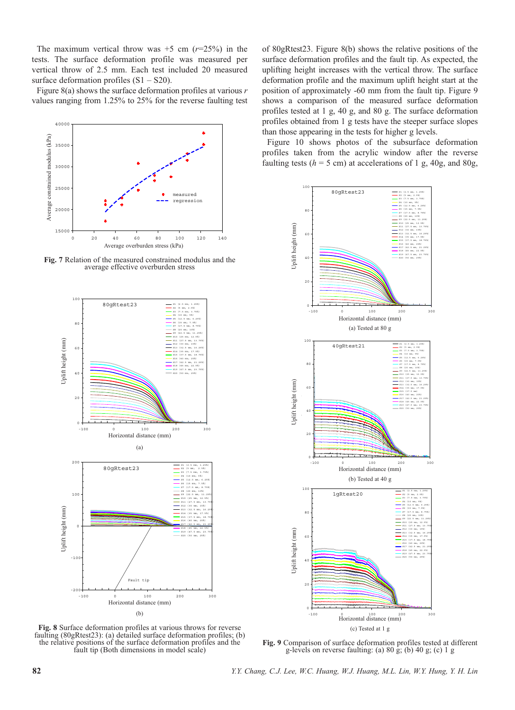The maximum vertical throw was  $+5$  cm  $(r=25%)$  in the tests. The surface deformation profile was measured per vertical throw of 2.5 mm. Each test included 20 measured surface deformation profiles  $(S1 - S20)$ .

Figure 8(a) shows the surface deformation profiles at various *r* values ranging from 1.25% to 25% for the reverse faulting test



**Fig. 7** Relation of the measured constrained modulus and the average effective overburden stress



of 80gRtest23. Figure 8(b) shows the relative positions of the surface deformation profiles and the fault tip. As expected, the uplifting height increases with the vertical throw. The surface deformation profile and the maximum uplift height start at the position of approximately -60 mm from the fault tip. Figure 9 shows a comparison of the measured surface deformation profiles tested at 1 g, 40 g, and 80 g. The surface deformation profiles obtained from 1 g tests have the steeper surface slopes than those appearing in the tests for higher g levels.

Figure 10 shows photos of the subsurface deformation profiles taken from the acrylic window after the reverse faulting tests  $(h = 5 \text{ cm})$  at accelerations of 1 g, 40g, and 80g,



**Fig. 8** Surface deformation profiles at various throws for reverse faulting (80gRtest23): (a) detailed surface deformation profiles; (b) the relative positions of the surface deformation profiles and the fault tip (Both dimensions in model scale)

**Fig. 9** Comparison of surface deformation profiles tested at different g-levels on reverse faulting: (a)  $80 \text{ g}$ ; (b)  $40 \text{ g}$ ; (c)  $1 \text{ g}$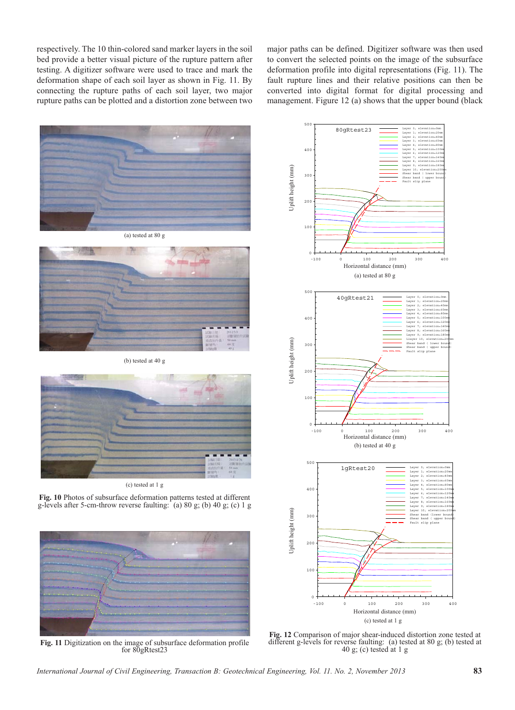respectively. The 10 thin-colored sand marker layers in the soil bed provide a better visual picture of the rupture pattern after testing. A digitizer software were used to trace and mark the deformation shape of each soil layer as shown in Fig. 11. By connecting the rupture paths of each soil layer, two major rupture paths can be plotted and a distortion zone between two

major paths can be defined. Digitizer software was then used to convert the selected points on the image of the subsurface deformation profile into digital representations (Fig. 11). The fault rupture lines and their relative positions can then be converted into digital format for digital processing and management. Figure 12 (a) shows that the upper bound (black





(b) tested at 40 g



(c) tested at 1 g

**Fig. 10** Photos of subsurface deformation patterns tested at different g-levels after 5-cm-throw reverse faulting: (a) 80 g; (b) 40 g; (c) 1 g



**Fig. 11** Digitization on the image of subsurface deformation profile for 80gRtest23



**Fig. 12** Comparison of major shear-induced distortion zone tested at different g-levels for reverse faulting: (a) tested at 80 g; (b) tested at 40 g; (c) tested at 1 g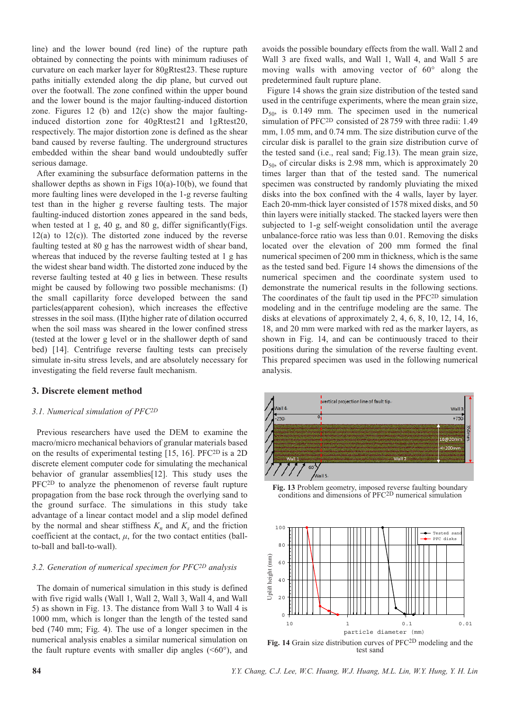line) and the lower bound (red line) of the rupture path obtained by connecting the points with minimum radiuses of curvature on each marker layer for 80gRtest23. These rupture paths initially extended along the dip plane, but curved out over the footwall. The zone confined within the upper bound and the lower bound is the major faulting-induced distortion zone. Figures 12 (b) and 12(c) show the major faultinginduced distortion zone for 40gRtest21 and 1gRtest20, respectively. The major distortion zone is defined as the shear band caused by reverse faulting. The underground structures embedded within the shear band would undoubtedly suffer serious damage.

After examining the subsurface deformation patterns in the shallower depths as shown in Figs  $10(a)-10(b)$ , we found that more faulting lines were developed in the 1-g reverse faulting test than in the higher g reverse faulting tests. The major faulting-induced distortion zones appeared in the sand beds, when tested at 1 g, 40 g, and 80 g, differ significantly(Figs.  $12(a)$  to  $12(c)$ ). The distorted zone induced by the reverse faulting tested at 80 g has the narrowest width of shear band, whereas that induced by the reverse faulting tested at 1 g has the widest shear band width. The distorted zone induced by the reverse faulting tested at 40 g lies in between. These results might be caused by following two possible mechanisms: (I) the small capillarity force developed between the sand particles(apparent cohesion), which increases the effective stresses in the soil mass. (II)the higher rate of dilation occurred when the soil mass was sheared in the lower confined stress (tested at the lower g level or in the shallower depth of sand bed) [14]. Centrifuge reverse faulting tests can precisely simulate in-situ stress levels, and are absolutely necessary for investigating the field reverse fault mechanism.

## **3. Discrete element method**

#### *3.1. Numerical simulation of PFC2D*

Previous researchers have used the DEM to examine the macro/micro mechanical behaviors of granular materials based on the results of experimental testing [15, 16]. PFC2D is a 2D discrete element computer code for simulating the mechanical behavior of granular assemblies[12]. This study uses the PFC2D to analyze the phenomenon of reverse fault rupture propagation from the base rock through the overlying sand to the ground surface. The simulations in this study take advantage of a linear contact model and a slip model defined by the normal and shear stiffness  $K_n$  and  $K_s$  and the friction coefficient at the contact,  $\mu$ , for the two contact entities (ballto-ball and ball-to-wall).

#### *3.2. Generation of numerical specimen for PFC2D analysis*

The domain of numerical simulation in this study is defined with five rigid walls (Wall 1, Wall 2, Wall 3, Wall 4, and Wall 5) as shown in Fig. 13. The distance from Wall 3 to Wall 4 is 1000 mm, which is longer than the length of the tested sand bed (740 mm; Fig. 4). The use of a longer specimen in the numerical analysis enables a similar numerical simulation on the fault rupture events with smaller dip angles  $( $60^{\circ}$ )$ , and

avoids the possible boundary effects from the wall. Wall 2 and Wall 3 are fixed walls, and Wall 1, Wall 4, and Wall 5 are moving walls with amoving vector of 60° along the predetermined fault rupture plane.

Figure 14 shows the grain size distribution of the tested sand used in the centrifuge experiments, where the mean grain size,  $D_{50}$ , is 0.149 mm. The specimen used in the numerical simulation of PFC2D consisted of 28 759 with three radii: 1.49 mm, 1.05 mm, and 0.74 mm. The size distribution curve of the circular disk is parallel to the grain size distribution curve of the tested sand (i.e., real sand; Fig.13). The mean grain size,  $D_{50}$ , of circular disks is 2.98 mm, which is approximately 20 times larger than that of the tested sand. The numerical specimen was constructed by randomly pluviating the mixed disks into the box confined with the 4 walls, layer by layer. Each 20-mm-thick layer consisted of 1578 mixed disks, and 50 thin layers were initially stacked. The stacked layers were then subjected to 1-g self-weight consolidation until the average unbalance-force ratio was less than 0.01. Removing the disks located over the elevation of 200 mm formed the final numerical specimen of 200 mm in thickness, which is the same as the tested sand bed. Figure 14 shows the dimensions of the numerical specimen and the coordinate system used to demonstrate the numerical results in the following sections. The coordinates of the fault tip used in the PFC2D simulation modeling and in the centrifuge modeling are the same. The disks at elevations of approximately 2, 4, 6, 8, 10, 12, 14, 16, 18, and 20 mm were marked with red as the marker layers, as shown in Fig. 14, and can be continuously traced to their positions during the simulation of the reverse faulting event. This prepared specimen was used in the following numerical analysis.



**Fig. 13** Problem geometry, imposed reverse faulting boundary conditions and dimensions of PFC2D numerical simulation



**Fig. 14** Grain size distribution curves of PFC2D modeling and the test sand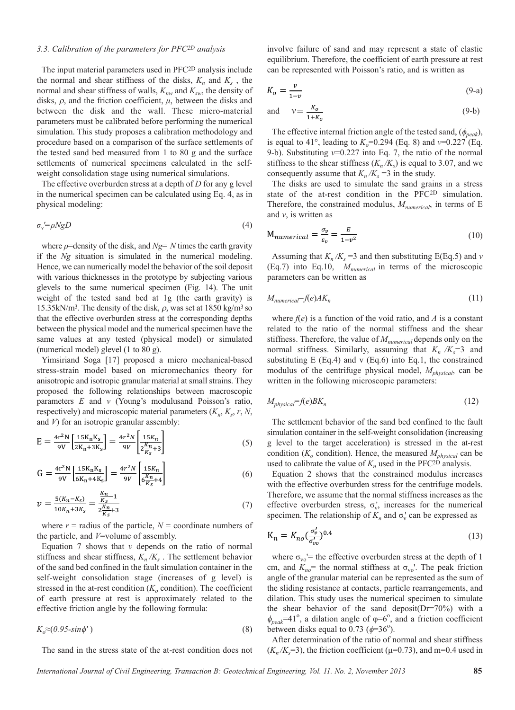#### *3.3. Calibration of the parameters for PFC2D analysis*

The input material parameters used in PFC2D analysis include the normal and shear stiffness of the disks,  $K_n$  and  $K_s$ , the normal and shear stiffness of walls,  $K_{nw}$  and  $K_{sw}$ , the density of disks,  $\rho$ , and the friction coefficient,  $\mu$ , between the disks and between the disk and the wall. These micro-material parameters must be calibrated before performing the numerical simulation. This study proposes a calibration methodology and procedure based on a comparison of the surface settlements of the tested sand bed measured from 1 to 80 g and the surface settlements of numerical specimens calculated in the selfweight consolidation stage using numerical simulations.

The effective overburden stress at a depth of *D* for any g level in the numerical specimen can be calculated using Eq. 4, as in physical modeling:

$$
\sigma_{\rm v} = \rho N g D \tag{4}
$$

where *ρ*=density of the disk, and *Ng= N* times the earth gravity if the *Ng* situation is simulated in the numerical modeling. Hence, we can numerically model the behavior of the soil deposit with various thicknesses in the prototype by subjecting various glevels to the same numerical specimen (Fig. 14). The unit weight of the tested sand bed at 1g (the earth gravity) is 15.35kN/m<sup>3</sup>. The density of the disk,  $\rho$ , was set at 1850 kg/m<sup>3</sup> so that the effective overburden stress at the corresponding depths between the physical model and the numerical specimen have the same values at any tested (physical model) or simulated (numerical model) glevel (1 to 80 g).

Yimsiriand Soga [17] proposed a micro mechanical-based stress-strain model based on micromechanics theory for anisotropic and isotropic granular material at small strains. They proposed the following relationships between macroscopic parameters *E* and *v* (Young's modulusand Poisson's ratio, respectively) and microscopic material parameters  $(K_n, K_s, r, N,$ and *V*) for an isotropic granular assembly:

$$
E = \frac{4r^2N}{9V} \left[ \frac{15K_nK_s}{2K_n + 3K_s} \right] = \frac{4r^2N}{9V} \left[ \frac{15K_n}{2\frac{K_n}{K_s} + 3} \right] \tag{5}
$$

$$
G = \frac{4r^2N}{9V} \left[ \frac{15K_nK_s}{6K_n + 4K_s} \right] = \frac{4r^2N}{9V} \left[ \frac{15K_n}{6\frac{K_n}{K_s} + 4} \right] \tag{6}
$$

$$
\nu = \frac{5(K_n - K_s)}{10K_n + 3K_s} = \frac{\frac{K_n}{K_s} - 1}{2\frac{K_n}{K_s} + 3}
$$
\n(7)

where  $r =$  radius of the particle,  $N =$  coordinate numbers of the particle, and *V*=volume of assembly.

Equation  $7$  shows that  $\nu$  depends on the ratio of normal stiffness and shear stiffness,  $K_n/K_s$ . The settlement behavior of the sand bed confined in the fault simulation container in the self-weight consolidation stage (increases of g level) is stressed in the at-rest condition  $(K<sub>o</sub>$  condition). The coefficient of earth pressure at rest is approximately related to the effective friction angle by the following formula:

$$
K_o \approx (0.95 \text{-} \sin \phi') \tag{8}
$$

The sand in the stress state of the at-rest condition does not

involve failure of sand and may represent a state of elastic equilibrium. Therefore, the coefficient of earth pressure at rest can be represented with Poisson's ratio, and is written as

$$
K_o = \frac{v}{1 - v} \tag{9-a}
$$

and 
$$
v = \frac{K_o}{1 + K_o} \tag{9-b}
$$

The effective internal friction angle of the tested sand,  $(\phi_{peak})$ , is equal to 41°, leading to  $K_o$ =0.294 (Eq. 8) and  $v$ =0.227 (Eq. 9-b). Substituting *v*=0.227 into Eq. 7, the ratio of the normal stiffness to the shear stiffness  $(K_n/K_s)$  is equal to 3.07, and we consequently assume that  $K_n/K_s = 3$  in the study.

The disks are used to simulate the sand grains in a stress state of the at-rest condition in the PFC2D simulation. Therefore, the constrained modulus,  $M_{numerical}$ , in terms of E and *v*, is written as

$$
M_{numerical} = \frac{\sigma_v}{\varepsilon_v} = \frac{E}{1 - v^2}
$$
\n(10)

Assuming that  $K_n/K_s = 3$  and then substituting E(Eq.5) and *v* (Eq.7) into Eq.10, *Mnumerical* in terms of the microscopic parameters can be written as

$$
M_{numerical} = f(e)AK_n \tag{11}
$$

where  $f(e)$  is a function of the void ratio, and  $A$  is a constant related to the ratio of the normal stiffness and the shear stiffness. Therefore, the value of  $M_{numerical}$  depends only on the normal stiffness. Similarly, assuming that  $K_n / K_s = 3$  and substituting  $E$  (Eq.4) and v (Eq.6) into Eq.1, the constrained modulus of the centrifuge physical model, *Mphysical*, can be written in the following microscopic parameters:

$$
M_{physical} = f(e)BK_n \tag{12}
$$

The settlement behavior of the sand bed confined to the fault simulation container in the self-weight consolidation (increasing g level to the target acceleration) is stressed in the at-rest condition  $(K_o \text{ condition})$ . Hence, the measured  $M_{physical}$  can be used to calibrate the value of  $K_n$  used in the PFC<sup>2D</sup> analysis.

Equation 2 shows that the constrained modulus increases with the effective overburden stress for the centrifuge models. Therefore, we assume that the normal stiffness increases as the effective overburden stress,  $\sigma_v'$ , increases for the numerical specimen. The relationship of  $K_n$  and  $\sigma_v$  can be expressed as

$$
K_n = K_{no} \left( \frac{\sigma_v'}{\sigma_{vo}'} \right)^{0.4} \tag{13}
$$

where  $\sigma_{\rm vo}$ '= the effective overburden stress at the depth of 1 cm, and  $K_{no}$ = the normal stiffness at  $\sigma_{vo}$ <sup>'</sup>. The peak friction angle of the granular material can be represented as the sum of the sliding resistance at contacts, particle rearrangements, and dilation. This study uses the numerical specimen to simulate the shear behavior of the sand deposit( $Dr = 70\%$ ) with a  $\phi_{peak}$ =41<sup>o</sup>, a dilation angle of  $\varphi$ =6<sup>o</sup>, and a friction coefficient between disks equal to 0.73 ( $\phi$ =36<sup>o</sup>).

After determination of the ratio of normal and shear stiffness  $(K_n/K_s=3)$ , the friction coefficient ( $\mu=0.73$ ), and m=0.4 used in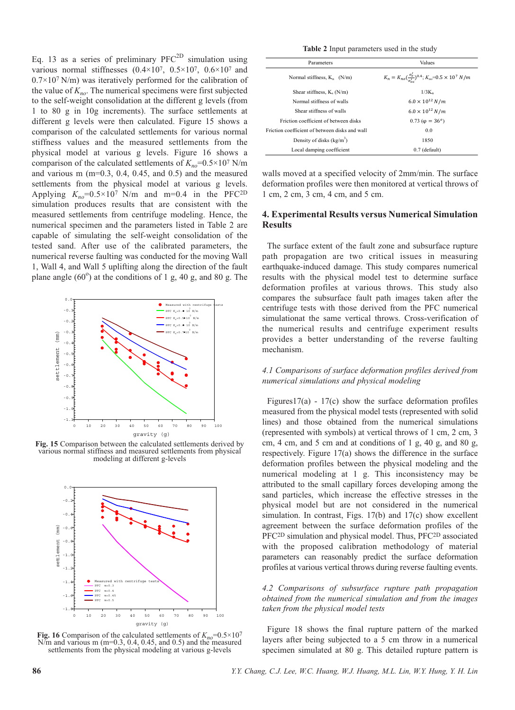Eq. 13 as a series of preliminary  $PFC^{2D}$  simulation using various normal stiffnesses  $(0.4\times10^7, 0.5\times10^7, 0.6\times10^7,$  and  $0.7\times10^{7}$  N/m) was iteratively performed for the calibration of the value of  $K_{no}$ . The numerical specimens were first subjected to the self-weight consolidation at the different g levels (from 1 to 80 g in 10g increments). The surface settlements at different g levels were then calculated. Figure 15 shows a comparison of the calculated settlements for various normal stiffness values and the measured settlements from the physical model at various g levels. Figure 16 shows a comparison of the calculated settlements of  $K_{no} = 0.5 \times 10^7$  N/m and various m (m=0.3, 0.4, 0.45, and 0.5) and the measured settlements from the physical model at various g levels. Applying  $K_{no} = 0.5 \times 10^7$  N/m and m=0.4 in the PFC<sup>2D</sup> simulation produces results that are consistent with the measured settlements from centrifuge modeling. Hence, the numerical specimen and the parameters listed in Table 2 are capable of simulating the self-weight consolidation of the tested sand. After use of the calibrated parameters, the numerical reverse faulting was conducted for the moving Wall 1, Wall 4, and Wall 5 uplifting along the direction of the fault plane angle  $(60^{\circ})$  at the conditions of 1 g, 40 g, and 80 g. The



**Fig. 15** Comparison between the calculated settlements derived by various normal stiffness and measured settlements from physical modeling at different g-levels



**Fig. 16** Comparison of the calculated settlements of  $K_{no} = 0.5 \times 10^{7}$  $N/m$  and various m (m=0.3, 0.4, 0.45, and 0.5) and the measured settlements from the physical modeling at various g-levels

**Table 2** Input parameters used in the study

| Parameters                                     | Values                                                                             |  |
|------------------------------------------------|------------------------------------------------------------------------------------|--|
| Normal stiffness, $K_n$ (N/m)                  | $K_n = K_{no} (\frac{\sigma_v^l}{\sigma_w^l})^{0.4}; K_{no} = 0.5 \times 10^7 N/m$ |  |
| Shear stiffness, $K_s(N/m)$                    | $1/3K_n$                                                                           |  |
| Normal stiffness of walls                      | $6.0 \times 10^{12} N/m$                                                           |  |
| Shear stiffness of walls                       | $6.0 \times 10^{12} N/m$                                                           |  |
| Friction coefficient of between disks          | $0.73 (\phi = 36^{\circ})$                                                         |  |
| Friction coefficient of between disks and wall | 0.0                                                                                |  |
| Density of disks $(kg/m3)$                     | 1850                                                                               |  |
| Local damping coefficient                      | $0.7$ (default)                                                                    |  |

walls moved at a specified velocity of 2mm/min. The surface deformation profiles were then monitored at vertical throws of 1 cm, 2 cm, 3 cm, 4 cm, and 5 cm.

## **4. Experimental Results versus Numerical Simulation Results**

The surface extent of the fault zone and subsurface rupture path propagation are two critical issues in measuring earthquake-induced damage. This study compares numerical results with the physical model test to determine surface deformation profiles at various throws. This study also compares the subsurface fault path images taken after the centrifuge tests with those derived from the PFC numerical simulationat the same vertical throws. Cross-verification of the numerical results and centrifuge experiment results provides a better understanding of the reverse faulting mechanism.

# *4.1 Comparisons of surface deformation profiles derived from numerical simulations and physical modeling*

Figures17(a) -  $17(c)$  show the surface deformation profiles measured from the physical model tests (represented with solid lines) and those obtained from the numerical simulations (represented with symbols) at vertical throws of 1 cm, 2 cm, 3 cm, 4 cm, and 5 cm and at conditions of 1 g, 40 g, and 80 g, respectively. Figure 17(a) shows the difference in the surface deformation profiles between the physical modeling and the numerical modeling at 1 g. This inconsistency may be attributed to the small capillary forces developing among the sand particles, which increase the effective stresses in the physical model but are not considered in the numerical simulation. In contrast, Figs. 17(b) and 17(c) show excellent agreement between the surface deformation profiles of the PFC2D simulation and physical model. Thus, PFC2D associated with the proposed calibration methodology of material parameters can reasonably predict the surface deformation profiles at various vertical throws during reverse faulting events.

## *4.2 Comparisons of subsurface rupture path propagation obtained from the numerical simulation and from the images taken from the physical model tests*

Figure 18 shows the final rupture pattern of the marked layers after being subjected to a 5 cm throw in a numerical specimen simulated at 80 g. This detailed rupture pattern is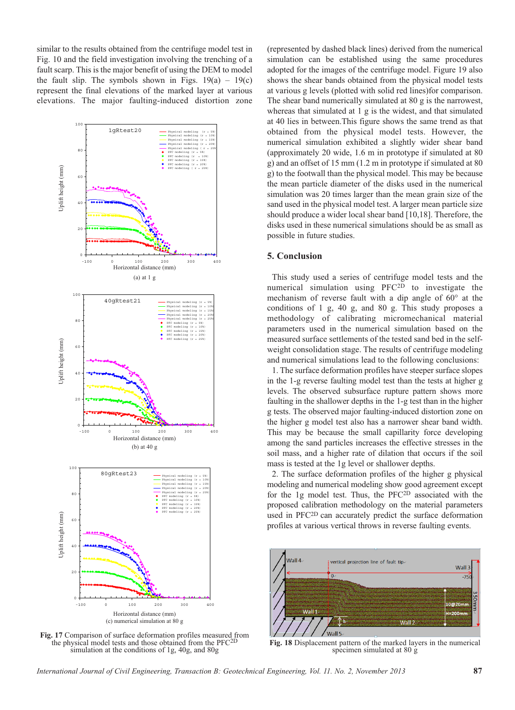similar to the results obtained from the centrifuge model test in Fig. 10 and the field investigation involving the trenching of a fault scarp. This is the major benefit of using the DEM to model the fault slip. The symbols shown in Figs.  $19(a) - 19(c)$ represent the final elevations of the marked layer at various elevations. The major faulting-induced distortion zone



**Fig. 17** Comparison of surface deformation profiles measured from the physical model tests and those obtained from the PFC<sup>21</sup> simulation at the conditions of 1g, 40g, and 80g

(represented by dashed black lines) derived from the numerical simulation can be established using the same procedures adopted for the images of the centrifuge model. Figure 19 also shows the shear bands obtained from the physical model tests at various g levels (plotted with solid red lines)for comparison. The shear band numerically simulated at 80 g is the narrowest, whereas that simulated at 1 g is the widest, and that simulated at 40 lies in between.This figure shows the same trend as that obtained from the physical model tests. However, the numerical simulation exhibited a slightly wider shear band (approximately 20 wide, 1.6 m in prototype if simulated at 80 g) and an offset of 15 mm (1.2 m in prototype if simulated at 80 g) to the footwall than the physical model. This may be because the mean particle diameter of the disks used in the numerical simulation was 20 times larger than the mean grain size of the sand used in the physical model test. A larger mean particle size should produce a wider local shear band [10,18]. Therefore, the disks used in these numerical simulations should be as small as possible in future studies.

## **5. Conclusion**

This study used a series of centrifuge model tests and the numerical simulation using PFC2D to investigate the mechanism of reverse fault with a dip angle of 60° at the conditions of 1 g, 40 g, and 80 g. This study proposes a methodology of calibrating micromechanical material parameters used in the numerical simulation based on the measured surface settlements of the tested sand bed in the selfweight consolidation stage. The results of centrifuge modeling and numerical simulations lead to the following conclusions:

1. The surface deformation profiles have steeper surface slopes in the 1-g reverse faulting model test than the tests at higher g levels. The observed subsurface rupture pattern shows more faulting in the shallower depths in the 1-g test than in the higher g tests. The observed major faulting-induced distortion zone on the higher g model test also has a narrower shear band width. This may be because the small capillarity force developing among the sand particles increases the effective stresses in the soil mass, and a higher rate of dilation that occurs if the soil mass is tested at the 1g level or shallower depths.

2. The surface deformation profiles of the higher g physical modeling and numerical modeling show good agreement except for the 1g model test. Thus, the PFC2D associated with the proposed calibration methodology on the material parameters used in PFC2D can accurately predict the surface deformation profiles at various vertical throws in reverse faulting events.



**Fig. 18** Displacement pattern of the marked layers in the numerical specimen simulated at 80 g